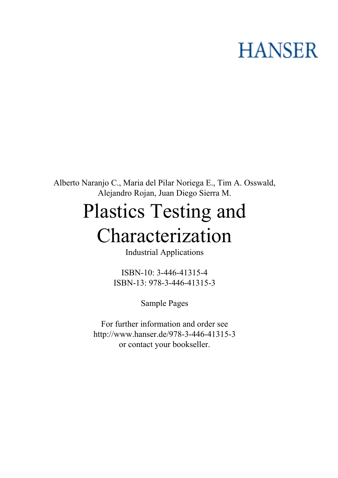# **HANSER**

**Alberto Naranjo C., Maria del Pilar Noriega E., Tim A. Osswald, Alejandro Rojan, Juan Diego Sierra M.**

# **Plastics Testing and Characterization**

**Industrial Applications**

**ISBN-10: 3-446-41315-4 ISBN-13: 978-3-446-41315-3**

**Sample Pages**

**For further information and order see <http://www.hanser.de/978-3-446-41315-3> or contact your bookseller.**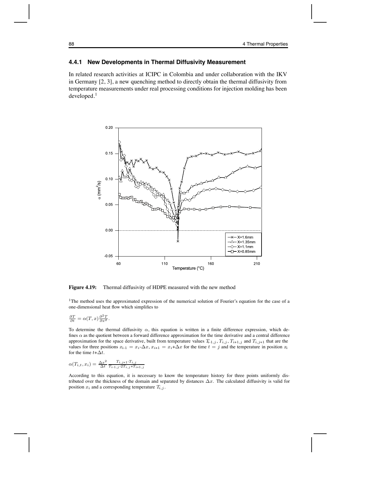### **4.4.1 New Developments in Thermal Diffusivity Measurement**

In related research activities at ICIPC in Colombia and under collaboration with the IKV in Germany [2, 3], a new quenching method to directly obtain the thermal diffusivity from temperature measurements under real processing conditions for injection molding has been developed.<sup>1</sup>



**Figure 4.19:** Thermal diffusivity of HDPE measured with the new method

<sup>1</sup>The method uses the approximated expression of the numerical solution of Fourier's equation for the case of a one-dimensional heat flow which simplifies to

$$
\frac{\partial T}{\partial t} = \alpha(T, x) \frac{\partial^2 T}{\partial x^2}.
$$

To determine the thermal diffusivity  $\alpha$ , this equation is written in a finite difference expression, which defines  $\alpha$  as the quotient between a forward difference approximation for the time derivative and a central difference approximation for the space derivative, built from temperature values  $T_{i-1,j}$ ,  $T_{i,j}$ ,  $T_{i+1,j}$  and  $T_{i,j+1}$  that are the values for three positions  $x_{i-1} = x_i - \Delta x$ ,  $x_{i+1} = x_i + \Delta x$  for the time  $t = j$  and the temperature in position  $x_i$ for the time  $t+\Delta t$ .

$$
\alpha(T_{i,t}, x_i) = \frac{\Delta x^2}{\Delta t} \frac{T_{i,j+1} - T_{i,j}}{T_{i-1,j} - 2T_{i,j} + T_{i+1,j}}
$$

According to this equation, it is necessary to know the temperature history for three points uniformly distributed over the thickness of the domain and separated by distances  $\Delta x$ . The calculated diffusivity is valid for position  $x_i$  and a corresponding temperature  $T_{i,j}$ .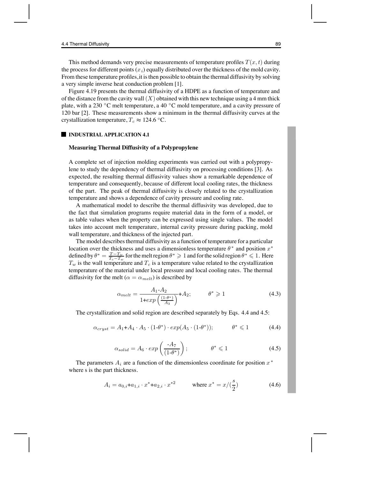This method demands very precise measurements of temperature profiles  $T(x, t)$  during the process for different points  $(x_i)$  equally distributed over the thickness of the mold cavity. From these temperature profiles,it is then possible to obtain the thermal diffusivity by solving a very simple inverse heat conduction problem [1].

Figure 4.19 presents the thermal diffusivity of a HDPE as a function of temperature and of the distance from the cavity wall  $(X)$  obtained with this new technique using a 4 mm thick plate, with a 230 °C melt temperature, a 40 °C mold temperature, and a cavity pressure of 120 bar [2]. These measurements show a minimum in the thermal diffusivity curves at the crystallization temperature,  $T_c \approx 124.6 \degree C$ .

#### **INDUSTRIAL APPLICATION 4.1**

#### **Measuring Thermal Diffusivity of a Polypropylene**

A complete set of injection molding experiments was carried out with a polypropylene to study the dependency of thermal diffusivity on processing conditions [3]. As expected, the resulting thermal diffusivity values show a remarkable dependence of temperature and consequently, because of different local cooling rates, the thickness of the part. The peak of thermal diffusivity is closely related to the crystallization temperature and shows a dependence of cavity pressure and cooling rate.

A mathematical model to describe the thermal diffusivity was developed, due to the fact that simulation programs require material data in the form of a model, or as table values when the property can be expressed using single values. The model takes into account melt temperature, internal cavity pressure during packing, mold wall temperature, and thickness of the injected part.

The model describes thermal diffusivity as a function of temperature for a particular location over the thickness and uses a dimensionless temperature  $\theta^*$  and position  $x^*$ defined by  $\theta^* = \frac{T - T_w}{T_c - T_w}$  for the melt region  $\theta^* \geq 1$  and for the solid region  $\theta^* \leq 1$ . Here  $T$  is the wall temperature and  $T$  is a temperature value related to the crystallization  $T_w$  is the wall temperature and  $T_c$  is a temperature value related to the crystallization temperature of the material under local pressure and local cooling rates. The thermal diffusivity for the melt ( $\alpha = \alpha_{melt}$ ) is described by

$$
\alpha_{melt} = \frac{A_1 - A_2}{1 + exp\left(\frac{(1 - \theta^*)}{A_3}\right)} + A_2; \qquad \theta^* \geq 1 \tag{4.3}
$$

The crystallization and solid region are described separately by Eqs. 4.4 and 4.5:

$$
\alpha_{cryst} = A_1 + A_4 \cdot A_5 \cdot (1 - \theta^*) \cdot exp(A_5 \cdot (1 - \theta^*)); \qquad \theta^* \leq 1 \tag{4.4}
$$

$$
\alpha_{solid} = A_6 \cdot exp\left(\frac{-A_7}{(1-\theta^*)}\right); \qquad \theta^* \leq 1 \tag{4.5}
$$

The parameters  $A_i$  are a function of the dimensionless coordinate for position  $x^*$ where s is the part thickness.

$$
A_i = a_{0,i} + a_{1,i} \cdot x^* + a_{2,i} \cdot x^{*2} \qquad \text{where } x^* = x/(\frac{s}{2}) \tag{4.6}
$$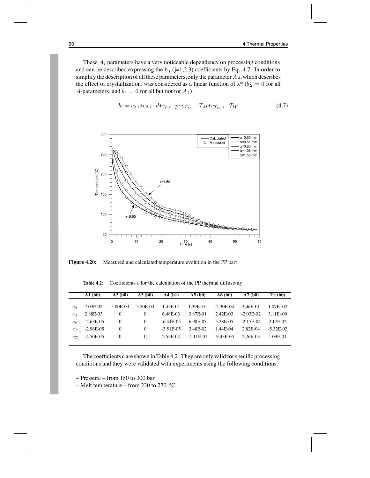These  $A_i$  parameters have a very noticeable dependency on processing conditions and can be described expressing the  $b_j$  (j=1,2,3) coefficients by Eq. 4.7. In order to simplify the description of all these parameters, only the parameter  $A_4$ , which describes the effect of crystallization, was considered as a linear function of  $x^*$  ( $b_2 = 0$  for all A-parameters, and  $b_1 = 0$  for all but not for  $A_4$ ).

$$
b_i = c_{0,i} + c_{d,i} \cdot d + c_{p,i} \cdot p + c_{T_{M,i}} \cdot T_M + c_{T_W,i} \cdot T_W \tag{4.7}
$$



**Figure 4.20:** Measured and calculated temperature evolution in the PP part

|                | $\mathbf{A1}$ (b0)  | $\mathbf{A2}$ (b0) | A3(b0)   | $\mathbf{A4}$ (b1) | A5(b0)       | A6(b0)         | A7(b0)      | Tc(b0)       |
|----------------|---------------------|--------------------|----------|--------------------|--------------|----------------|-------------|--------------|
|                |                     |                    |          |                    |              |                |             |              |
| c <sub>0</sub> | 7.03E-02            | 5.00E-03           | 5.50E-03 | 1.45E-01           | $1.39E + 01$ | $-2.30E-04$    | 3.46E-01    | $1.07E + 02$ |
| $c_d$          | 2.88E-03            | 0                  | $\theta$ | 6.48E-03           | 3.87E-01     | 2.42E-03       | $-2.03E-02$ | 3.11E+00     |
| $c_n$          | $-2.63E-05$         | 0                  | $\theta$ | $-6.44E-0.5$       | 6.98E-03     | 5.38E-05       | $-2.17E-04$ | 2.17E-02     |
|                | $c_{T_m}$ -2.96E-05 | $\mathbf{0}$       | $\left($ | $-3.51E-0.5$       | 2.48E-02     | 1.44E-04       | 2.82E-04    | $-5.32E-02$  |
|                | $c_{T_w}$ -4.50E-05 | $\mathbf{0}$       | $\theta$ | 2.55E-04           | $-1.11E-01$  | $-9.43E - 0.5$ | 2.26E-03    | 1.09E-01     |
|                |                     |                    |          |                    |              |                |             |              |

**Table 4.2**: Coefficients *<sup>c</sup>* for the calculation of the PP thermal diffusivity

The coefficients c are shown in Table 4.2. They are only valid for specific processing conditions and they were validated with experiments using the following conditions:

– Pressure – from 150 to 300 bar

– Melt temperature – from 230 to 270 ◦C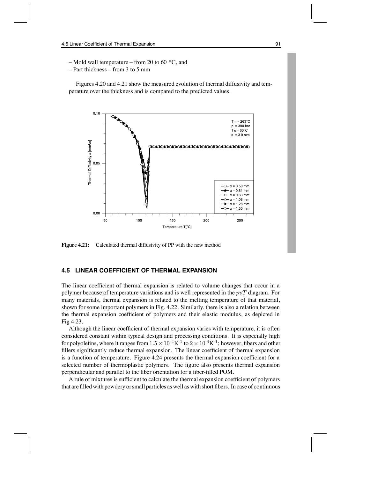– Mold wall temperature – from 20 to 60  $\degree$ C, and

– Part thickness – from 3 to 5 mm

Figures 4.20 and 4.21 show the measured evolution of thermal diffusivity and temperature over the thickness and is compared to the predicted values.



**Figure 4.21:** Calculated thermal diffusivity of PP with the new method

## **4.5 LINEAR COEFFICIENT OF THERMAL EXPANSION**

The linear coefficient of thermal expansion is related to volume changes that occur in a polymer because of temperature variations and is well represented in the  $pvT$  diagram. For many materials, thermal expansion is related to the melting temperature of that material, shown for some important polymers in Fig. 4.22. Similarly, there is also a relation between the thermal expansion coefficient of polymers and their elastic modulus, as depicted in Fig 4.23.

Although the linear coefficient of thermal expansion varies with temperature, it is often considered constant within typical design and processing conditions. It is especially high for polyolefins, where it ranges from  $1.5 \times 10^{-4}$ K $^{-1}$  to  $2 \times 10^{-4}$ K $^{-1}$ ; however, fibers and other fillers significantly reduce thermal expansion. The linear coefficient of thermal expansion is a function of temperature. Figure 4.24 presents the thermal expansion coefficient for a selected number of thermoplastic polymers. The figure also presents thermal expansion perpendicular and parallel to the fiber orientation for a fiber-filled POM.

A rule of mixtures is sufficient to calculate the thermal expansion coefficient of polymers that are filled with powdery or small particles as well as with short fibers. In case of continuous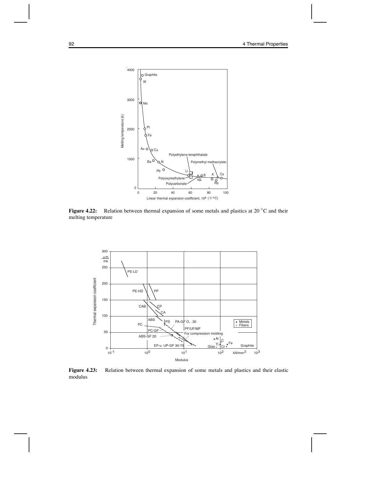

**Figure 4.22:** Relation between thermal expansion of some metals and plastics at 20 ◦C and their melting temperature



**Figure 4.23:** Relation between thermal expansion of some metals and plastics and their elastic modulus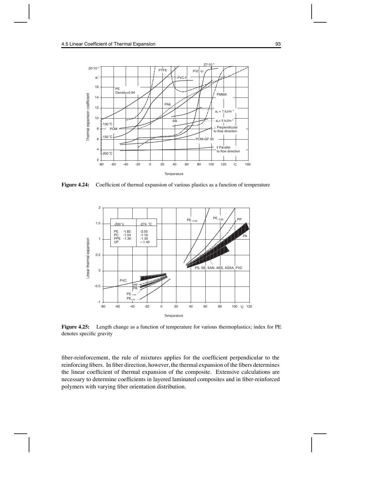

Figure 4.24: Coefficient of thermal expansion of various plastics as a function of temperature



**Figure 4.25:** Length change as a function of temperature for various thermoplastics; index for PE denotes specific gravity

fiber-reinforcement, the rule of mixtures applies for the coefficient perpendicular to the reinforcing fibers. In fiber direction, however, the thermal expansion of the fibers determines the linear coefficient of thermal expansion of the composite. Extensive calculations are necessary to determine coefficients in layered laminated composites and in fiber-reinforced polymers with varying fiber orientation distribution.